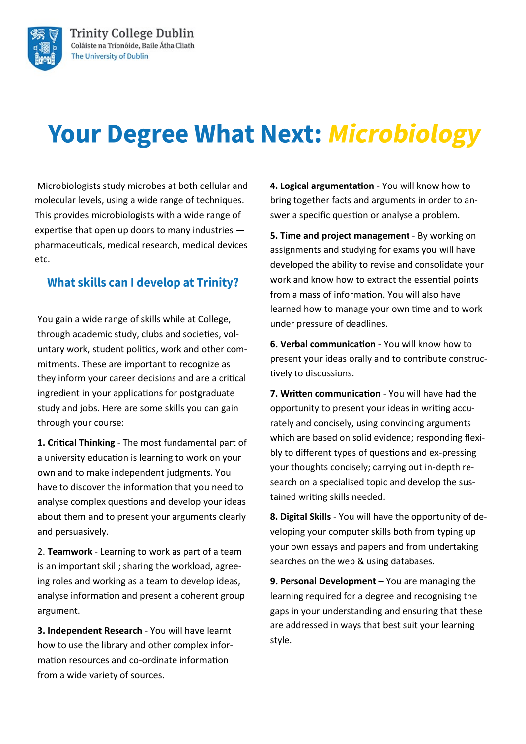

# **Your Degree What Next: Microbiology**

Microbiologists study microbes at both cellular and molecular levels, using a wide range of techniques. This provides microbiologists with a wide range of expertise that open up doors to many industries pharmaceuticals, medical research, medical devices etc.

#### **What skills can I develop at Trinity?**

You gain a wide range of skills while at College, through academic study, clubs and societies, voluntary work, student politics, work and other commitments. These are important to recognize as they inform your career decisions and are a critical ingredient in your applications for postgraduate study and jobs. Here are some skills you can gain through your course:

**1. Critical Thinking** - The most fundamental part of a university education is learning to work on your own and to make independent judgments. You have to discover the information that you need to analyse complex questions and develop your ideas about them and to present your arguments clearly and persuasively.

2. **Teamwork** - Learning to work as part of a team is an important skill; sharing the workload, agreeing roles and working as a team to develop ideas, analyse information and present a coherent group argument.

**3. Independent Research** - You will have learnt how to use the library and other complex information resources and co-ordinate information from a wide variety of sources.

**4. Logical argumentation** - You will know how to bring together facts and arguments in order to answer a specific question or analyse a problem.

**5. Time and project management** - By working on assignments and studying for exams you will have developed the ability to revise and consolidate your work and know how to extract the essential points from a mass of information. You will also have learned how to manage your own time and to work under pressure of deadlines.

**6. Verbal communication** - You will know how to present your ideas orally and to contribute constructively to discussions.

**7. Written communication** - You will have had the opportunity to present your ideas in writing accurately and concisely, using convincing arguments which are based on solid evidence; responding flexibly to different types of questions and ex-pressing your thoughts concisely; carrying out in-depth research on a specialised topic and develop the sustained writing skills needed.

**8. Digital Skills** - You will have the opportunity of developing your computer skills both from typing up your own essays and papers and from undertaking searches on the web & using databases.

**9. Personal Development** – You are managing the learning required for a degree and recognising the gaps in your understanding and ensuring that these are addressed in ways that best suit your learning style.